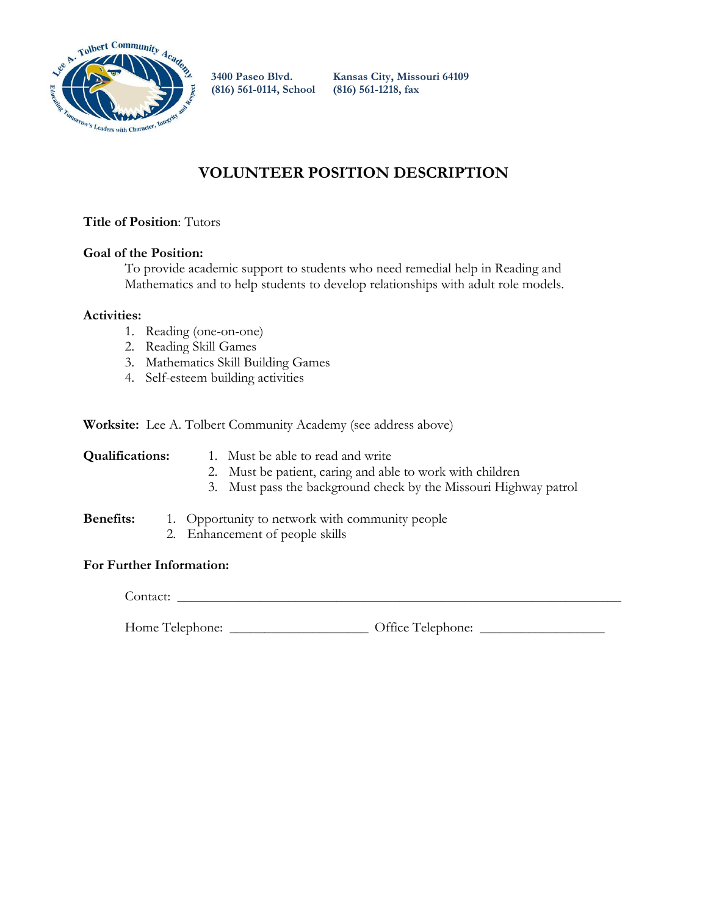

**(816) 561-0114, School (816) 561-1218, fax**

**3400 Paseo Blvd. Kansas City, Missouri 64109** 

## **VOLUNTEER POSITION DESCRIPTION**

### **Title of Position**: Tutors

### **Goal of the Position:**

To provide academic support to students who need remedial help in Reading and Mathematics and to help students to develop relationships with adult role models.

### **Activities:**

- 1. Reading (one-on-one)
- 2. Reading Skill Games
- 3. Mathematics Skill Building Games
- 4. Self-esteem building activities

**Worksite:** Lee A. Tolbert Community Academy (see address above)

- **Qualifications:** 1. Must be able to read and write
	- 2. Must be patient, caring and able to work with children
	- 3. Must pass the background check by the Missouri Highway patrol

### **Benefits:** 1. Opportunity to network with community people

2. Enhancement of people skills

### **For Further Information:**

Contact: \_\_\_\_\_\_\_\_\_\_\_\_\_\_\_\_\_\_\_\_\_\_\_\_\_\_\_\_\_\_\_\_\_\_\_\_\_\_\_\_\_\_\_\_\_\_\_\_\_\_\_\_\_\_\_\_\_\_\_\_\_\_\_\_

Home Telephone: \_\_\_\_\_\_\_\_\_\_\_\_\_\_\_\_\_\_\_\_ Office Telephone: \_\_\_\_\_\_\_\_\_\_\_\_\_\_\_\_\_\_